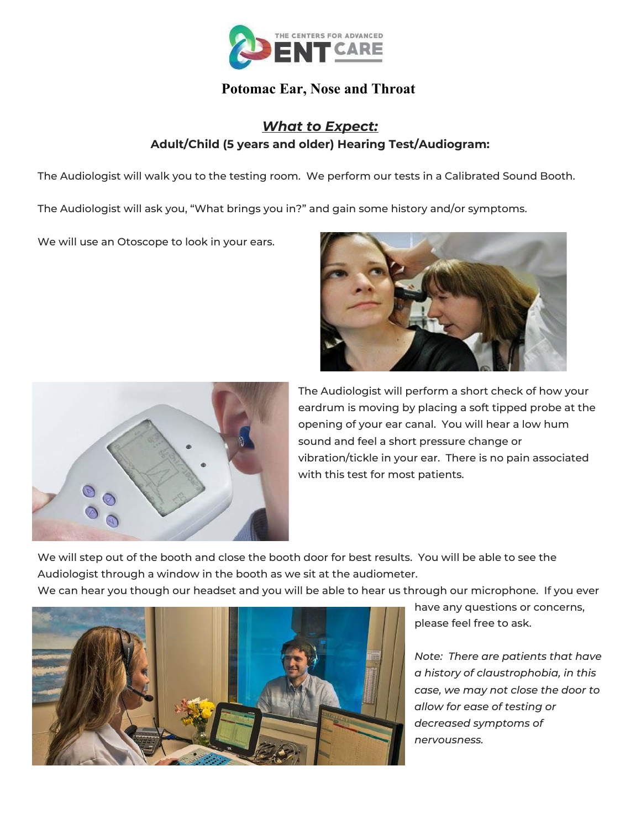

## **Potomac Ear, Nose and Throat**

## *What to Expect:* **Adult/Child (5 years and older) Hearing Test/Audiogram:**

The Audiologist will walk you to the testing room. We perform our tests in a Calibrated Sound Booth.

The Audiologist will ask you, "What brings you in?" and gain some history and/or symptoms.

We will use an Otoscope to look in your ears.





The Audiologist will perform a short check of how your eardrum is moving by placing a soft tipped probe at the opening of your ear canal. You will hear a low hum sound and feel a short pressure change or vibration/tickle in your ear. There is no pain associated with this test for most patients.

We will step out of the booth and close the booth door for best results. You will be able to see the Audiologist through a window in the booth as we sit at the audiometer.

We can hear you though our headset and you will be able to hear us through our microphone. If you ever



have any questions or concerns, please feel free to ask.

*Note: There are patients that have a history of claustrophobia, in this case, we may not close the door to allow for ease of testing or decreased symptoms of nervousness.*